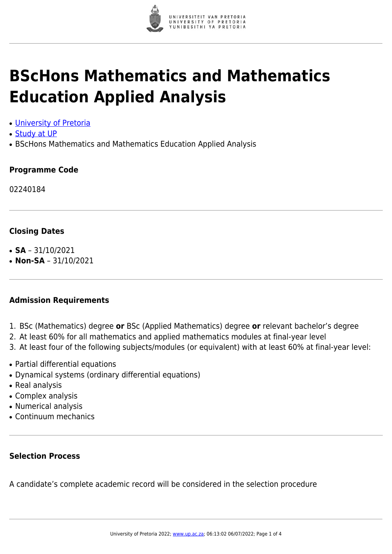

# **BScHons Mathematics and Mathematics Education Applied Analysis**

- [University of Pretoria](https://www.up.ac.za/home)
- [Study at UP](https://www.up.ac.za/programmes)
- BScHons Mathematics and Mathematics Education Applied Analysis

#### **Programme Code**

02240184

#### **Closing Dates**

- $\cdot$  **SA** 31/10/2021
- $\cdot$  **Non-SA** 31/10/2021

#### **Admission Requirements**

- 1. BSc (Mathematics) degree **or** BSc (Applied Mathematics) degree **or** relevant bachelor's degree
- 2. At least 60% for all mathematics and applied mathematics modules at final-year level
- 3. At least four of the following subjects/modules (or equivalent) with at least 60% at final-year level:
- Partial differential equations
- Dynamical systems (ordinary differential equations)
- Real analysis
- Complex analysis
- Numerical analysis
- Continuum mechanics

#### **Selection Process**

A candidate's complete academic record will be considered in the selection procedure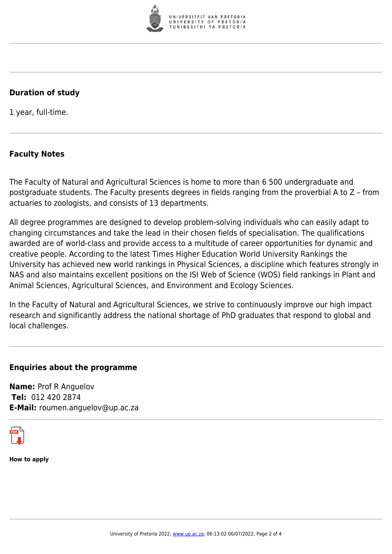

## **Duration of study**

1 year, full-time.

# **Faculty Notes**

The Faculty of Natural and Agricultural Sciences is home to more than 6 500 undergraduate and postgraduate students. The Faculty presents degrees in fields ranging from the proverbial A to Z – from actuaries to zoologists, and consists of 13 departments.

All degree programmes are designed to develop problem-solving individuals who can easily adapt to changing circumstances and take the lead in their chosen fields of specialisation. The qualifications awarded are of world-class and provide access to a multitude of career opportunities for dynamic and creative people. According to the latest Times Higher Education World University Rankings the University has achieved new world rankings in Physical Sciences, a discipline which features strongly in NAS and also maintains excellent positions on the ISI Web of Science (WOS) field rankings in Plant and Animal Sciences, Agricultural Sciences, and Environment and Ecology Sciences.

In the Faculty of Natural and Agricultural Sciences, we strive to continuously improve our high impact research and significantly address the national shortage of PhD graduates that respond to global and local challenges.

### **Enquiries about the programme**

**Name:** Prof R Anguelov **Tel:** 012 420 2874 **E-Mail:** roumen.anguelov@up.ac.za



**How to apply**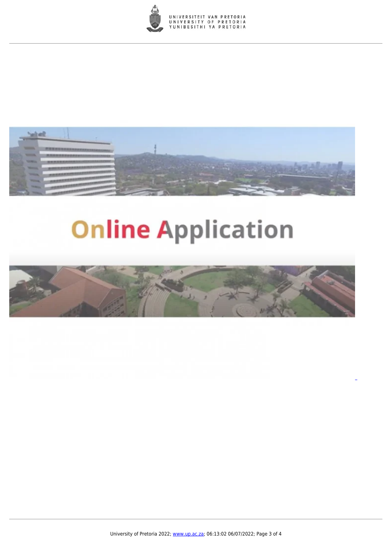



# **Online Application**